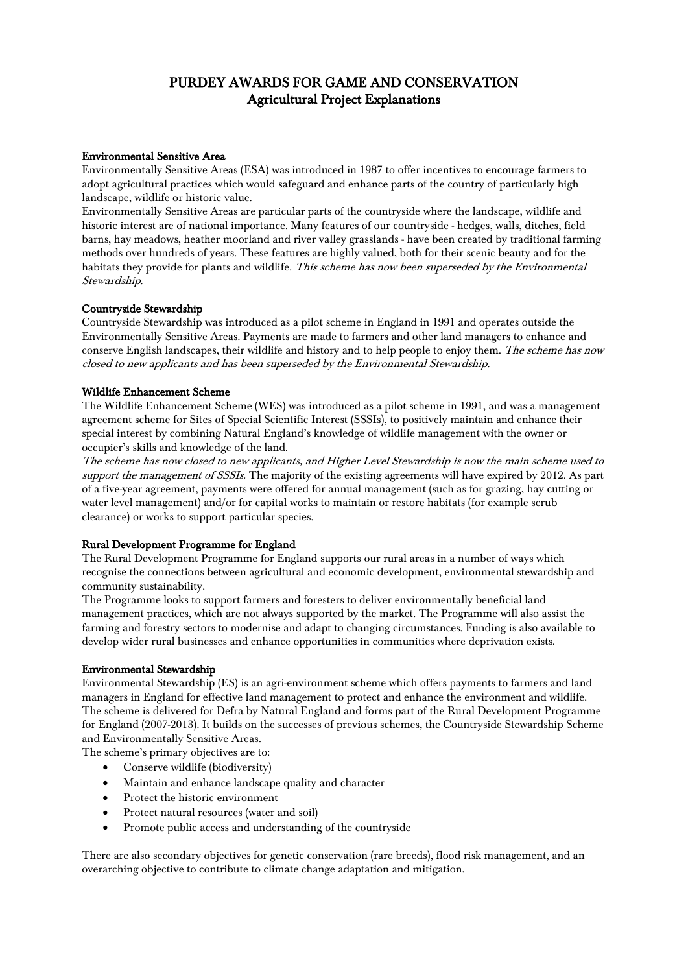### Environmental Sensitive Area

Environmentally Sensitive Areas (ESA) was introduced in 1987 to offer incentives to encourage farmers to adopt agricultural practices which would safeguard and enhance parts of the country of particularly high landscape, wildlife or historic value.

Environmentally Sensitive Areas are particular parts of the countryside where the landscape, wildlife and historic interest are of national importance. Many features of our countryside - hedges, walls, ditches, field barns, hay meadows, heather moorland and river valley grasslands - have been created by traditional farming methods over hundreds of years. These features are highly valued, both for their scenic beauty and for the habitats they provide for plants and wildlife. This scheme has now been superseded by the Environmental Stewardship.

## Countryside Stewardship

Countryside Stewardship was introduced as a pilot scheme in England in 1991 and operates outside the Environmentally Sensitive Areas. Payments are made to farmers and other land managers to enhance and conserve English landscapes, their wildlife and history and to help people to enjoy them. The scheme has now closed to new applicants and has been superseded by the Environmental Stewardship.

### Wildlife Enhancement Scheme

The Wildlife Enhancement Scheme (WES) was introduced as a pilot scheme in 1991, and was a management agreement scheme for Sites of Special Scientific Interest (SSSIs), to positively maintain and enhance their special interest by combining Natural England's knowledge of wildlife management with the owner or occupier's skills and knowledge of the land.

The scheme has now closed to new applicants, and Higher Level Stewardship is now the main scheme used to support the management of SSSIs. The majority of the existing agreements will have expired by 2012. As part of a five-year agreement, payments were offered for annual management (such as for grazing, hay cutting or water level management) and/or for capital works to maintain or restore habitats (for example scrub clearance) or works to support particular species.

# Rural Development Programme for England

The Rural Development Programme for England supports our rural areas in a number of ways which recognise the connections between agricultural and economic development, environmental stewardship and community sustainability.

The Programme looks to support farmers and foresters to deliver environmentally beneficial land management practices, which are not always supported by the market. The Programme will also assist the farming and forestry sectors to modernise and adapt to changing circumstances. Funding is also available to develop wider rural businesses and enhance opportunities in communities where deprivation exists.

### Environmental Stewardship

Environmental Stewardship (ES) is an agri-environment scheme which offers payments to farmers and land managers in England for effective land management to protect and enhance the environment and wildlife. The scheme is delivered for Defra by [Natural England](http://www.naturalengland.org.uk/ourwork/farming/funding/es/default.aspx) and forms part of the [Rural Development Programme](http://www.defra.gov.uk/rural/rdpe/)  [for England \(2007-2013\).](http://www.defra.gov.uk/rural/rdpe/) It builds on the successes of previous schemes, the Countryside Stewardship Scheme and Environmentally Sensitive Areas.

The scheme's primary objectives are to:

- Conserve wildlife (biodiversity)
- Maintain and enhance landscape quality and character
- Protect the historic environment
- Protect natural resources (water and soil)
- Promote public access and understanding of the countryside

There are also secondary objectives for genetic conservation (rare breeds), flood risk management, and an overarching objective to contribute to climate change adaptation and mitigation.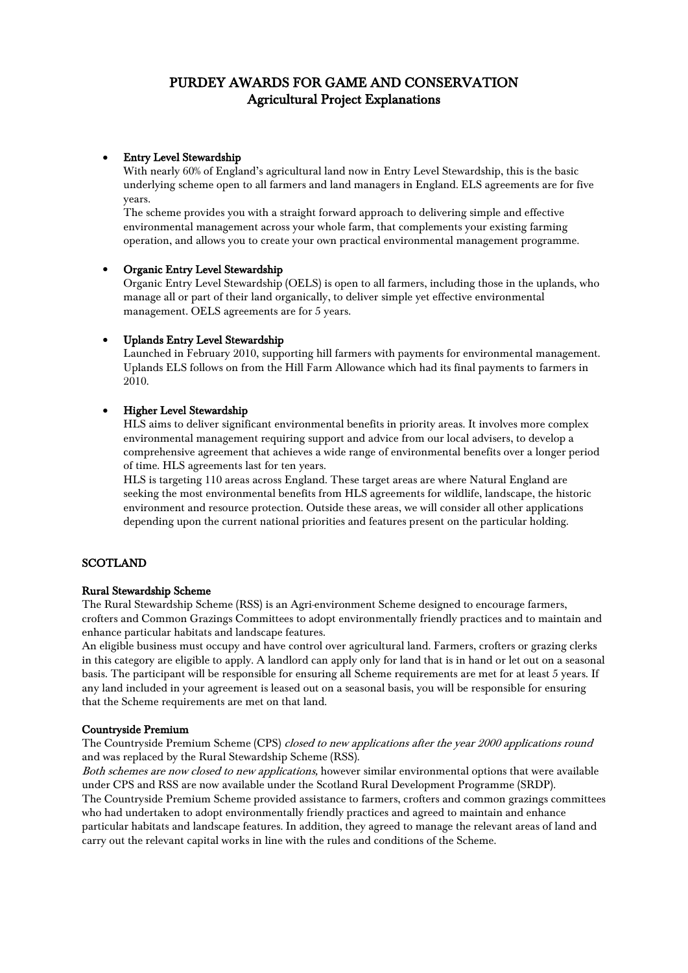### • Entry Level Stewardship

With nearly 60% of England's agricultural land now in Entry Level Stewardship, this is the basic underlying scheme open to all farmers and land managers in England. ELS agreements are for five years.

The scheme provides you with a straight forward approach to delivering simple and effective environmental management across your whole farm, that complements your existing farming operation, and allows you to create your own practical environmental management programme.

### • Organic Entry Level Stewardship

Organic Entry Level Stewardship (OELS) is open to all farmers, including those in the uplands, who manage all or part of their land organically, to deliver simple yet effective environmental management. OELS agreements are for 5 years.

## • Uplands Entry Level Stewardship

Launched in February 2010, supporting hill farmers with payments for environmental management. Uplands ELS follows on from the Hill Farm Allowance which had its final payments to farmers in 2010.

## • Higher Level Stewardship

HLS aims to deliver significant environmental benefits in priority areas. It involves more complex environmental management requiring support and advice from our local advisers, to develop a comprehensive agreement that achieves a wide range of environmental benefits over a longer period of time. HLS agreements last for ten years.

HLS is targeting 110 areas across England. These target areas are where Natural England are seeking the most environmental benefits from HLS agreements for wildlife, landscape, the historic environment and resource protection. Outside these areas, we will consider all other applications depending upon the current national priorities and features present on the particular holding.

## **SCOTLAND**

### Rural Stewardship Scheme

The Rural Stewardship Scheme (RSS) is an Agri-environment Scheme designed to encourage farmers, crofters and Common Grazings Committees to adopt environmentally friendly practices and to maintain and enhance particular habitats and landscape features.

An eligible business must occupy and have control over agricultural land. Farmers, crofters or grazing clerks in this category are eligible to apply. A landlord can apply only for land that is in hand or let out on a seasonal basis. The participant will be responsible for ensuring all Scheme requirements are met for at least 5 years. If any land included in your agreement is leased out on a seasonal basis, you will be responsible for ensuring that the Scheme requirements are met on that land.

### Countryside Premium

The Countryside Premium Scheme (CPS) closed to new applications after the year 2000 applications round and was replaced by the [Rural Stewardship Scheme](http://www.scotland.gov.uk/Topics/farmingrural/Agriculture/grants/Envschemes/RSS) (RSS).

Both schemes are now closed to new applications, however similar environmental options that were available under CPS and RSS are now available under the Scotland Rural Development Programme (SRDP). The Countryside Premium Scheme provided assistance to farmers, crofters and common grazings committees who had undertaken to adopt environmentally friendly practices and agreed to maintain and enhance particular habitats and landscape features. In addition, they agreed to manage the relevant areas of land and carry out the relevant capital works in line with the rules and conditions of the Scheme.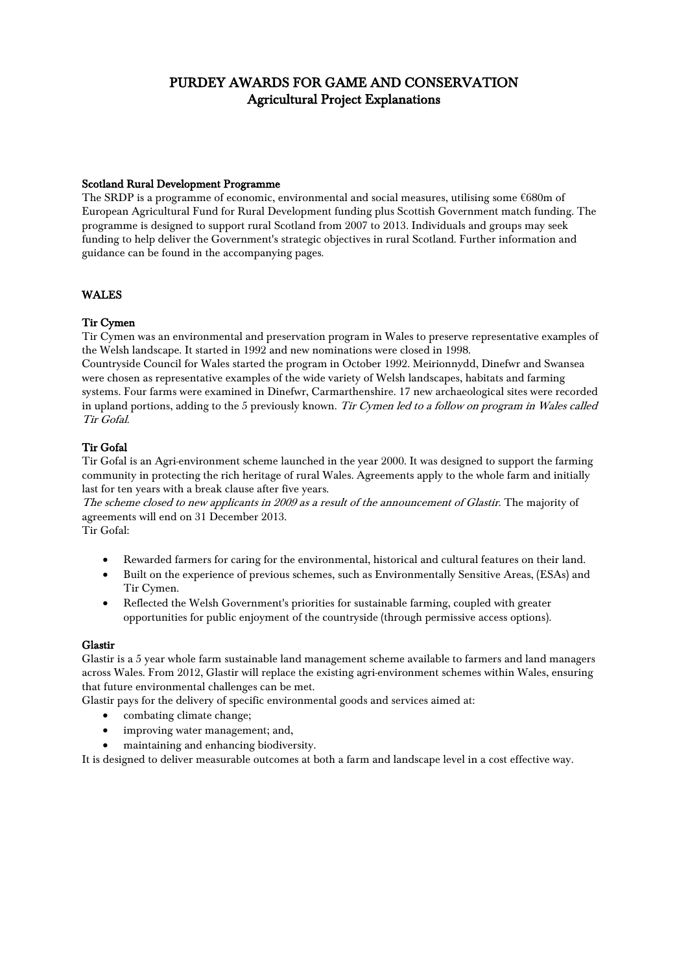### Scotland Rural Development Programme

The SRDP is a programme of economic, environmental and social measures, utilising some €680m of European Agricultural Fund for Rural Development funding plus Scottish Government match funding. The programme is designed to support rural Scotland from 2007 to 2013. Individuals and groups may seek funding to help deliver the Government's strategic objectives in rural Scotland. Further information and guidance can be found in the accompanying pages.

# WALES

# Tir Cymen

Tir Cymen was an environmental and preservation program in [Wales](http://en.wikipedia.org/wiki/Wales) to preserve representative examples of the Welsh landscape. It started in 1992 and new nominations were closed in 1998.

[Countryside Council for Wales](http://en.wikipedia.org/wiki/Countryside_Council_for_Wales) started the program in October 1992. [Meirionnydd,](http://en.wikipedia.org/wiki/Meirionnydd) [Dinefwr](http://en.wikipedia.org/wiki/Dinefwr) and [Swansea](http://en.wikipedia.org/wiki/Swansea) were chosen as representative examples of the wide variety of Welsh landscapes, habitats and farming systems. Four farms were examined in Dinefwr, [Carmarthenshire.](http://en.wikipedia.org/wiki/Carmarthenshire) 17 new archaeological sites were recorded in upland portions, adding to the 5 previously known. Tir Cymen led to a follow on program in Wales called [Tir Gofal.](http://en.wikipedia.org/w/index.php?title=Tir_Gofal&action=edit&redlink=1) 

# Tir Gofal

Tir Gofal is an Agri-environment scheme launched in the year 2000. It was designed to support the farming community in protecting the rich heritage of rural Wales. Agreements apply to the whole farm and initially last for ten years with a break clause after five years.

The scheme closed to new applicants in 2009 as a result of the announcement of Glastir. The majority of agreements will end on 31 December 2013.

Tir Gofal:

- Rewarded farmers for caring for the environmental, historical and cultural features on their land.
- Built on the experience of previous schemes, such as Environmentally Sensitive Areas, (ESAs) and Tir Cymen.
- Reflected the Welsh Government's priorities for sustainable farming, coupled with greater opportunities for public enjoyment of the countryside (through permissive access options).

# Glastir

Glastir is a 5 year whole farm sustainable land management scheme available to farmers and land managers across Wales. From 2012, Glastir will replace the existing agri-environment schemes within Wales, ensuring that future environmental challenges can be met.

Glastir pays for the delivery of specific environmental goods and services aimed at:

- combating climate change;
- improving water management; and,
- maintaining and enhancing biodiversity.

It is designed to deliver measurable outcomes at both a farm and landscape level in a cost effective way.